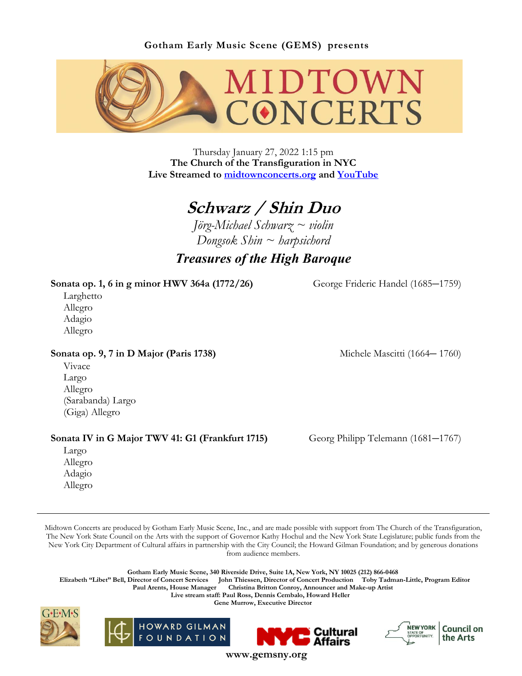

Thursday January 27, 2022 1:15 pm **The Church of the Transfiguration in NYC Live Streamed to [midtownconcerts.org](https://gemsny.org/midtown-live) and [YouTube](https://www.youtube.com/c/MidtownConcerts/featured)**

# **Schwarz / Shin Duo**

*Jörg-Michael Schwarz ~ violin Dongsok Shin ~ harpsichord*

## *Treasures of the High Baroque*

## **Sonata op. 1, 6 in g minor HWV 364a (1772/26)** George Frideric Handel (1685*–*1759)

 Larghetto Allegro Adagio Allegro

**Sonata op. 9, 7 in D Major (Paris 1738)** Michele Mascitti (1664*–* 1760)

 Vivace Largo Allegro (Sarabanda) Largo (Giga) Allegro

## **Sonata IV in G Major TWV 41: G1 (Frankfurt 1715)** Georg Philipp Telemann (1681*–*1767)

 Largo Allegro Adagio Allegro

Midtown Concerts are produced by Gotham Early Music Scene, Inc., and are made possible with support from The Church of the Transfiguration, The New York State Council on the Arts with the support of Governor Kathy Hochul and the New York State Legislature; public funds from the New York City Department of Cultural affairs in partnership with the City Council; the Howard Gilman Foundation; and by generous donations from audience members.

**Gotham Early Music Scene, 340 Riverside Drive, Suite 1A, New York, NY 10025 (212) 866-0468**

 **Elizabeth "Libet" Bell, Director of Concert Services John Thiessen, Director of Concert Production Toby Tadman-Little, Program Editor Paul Arents, House Manager Christina Britton Conroy, Announcer and Make-up Artist**

**Live stream staff: Paul Ross, Dennis Cembalo, Howard Heller** 

**Gene Murrow, Executive Director**









**www.gemsny.org**